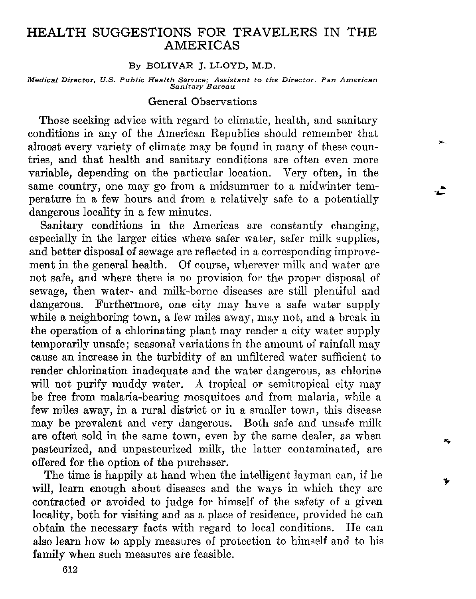# HEALTH SUGGESTIONS FOR TRAVELERS IN THE AMERICAS

#### By BOLIVAR J. LLOYD, M.D.

Medical Director, U.S. Public Health Service; Assistant to the Director. Pan Amer.<br>Sanitary Bureau

## General Observations

Those seeking advice with regard to climatic, health, and sanitary conditions in any of the American Republics should remember that almost every variety of climate may be found in many of these countries, and that health and sanitary conditions are often even more variable, depending on the particular location. Very often, in the same country, one may go from a midsummer to a midwinter temperature in a few hours and from a relatively safe to a potentially dangerous locality in a few minutes.

So

\*

i

Sanitary conditions in the Americas are constantly changing, especially in the larger cities where safer water, safer milk supplies, and better disposal of sewage are reflected in a corresponding improvement in the general health. Of course, wherever milk and water are not safe, and where there is no provision for the proper disposal of sewage, then water- and milk-borne diseases are still plentiful and dangerous. Furthermore, one city may have a safe water supply while a neighboring town, a few miles away, may not, and a break in the operation of a chlorinating plant may render a city water supply temporarily unsafe; seasonal variations in the amount of rainfall may cause an increase in the turbidity of an unfiltered water sufficient to render chlorination inadequate and the water dangerous, as chlorine will not purify muddy water. A tropical or semitropical city may be free from malaria-bearing mosquitoes and from malaria, while a few miles away, in a rural district or in a smaller town, this disease may be prevalent and very dangerous. Both safe and unsafe milk are often sold in the same town, even by the same dealer, as when pasteurized, and unpasteurized milk, the latter contaminated, are offered for the option of the purchaser.

The time is happily at hand when the intelligent layman can, if he will, learn enough about diseases and the ways in which they are contracted or avoided to judge for himself of the safety of a given locality, both for visiting and as a place of residence, provided he can obtain the necessary facts with regard to local conditions. He can also learn how to apply measures of protection to himself and to his family when such measures are feasible.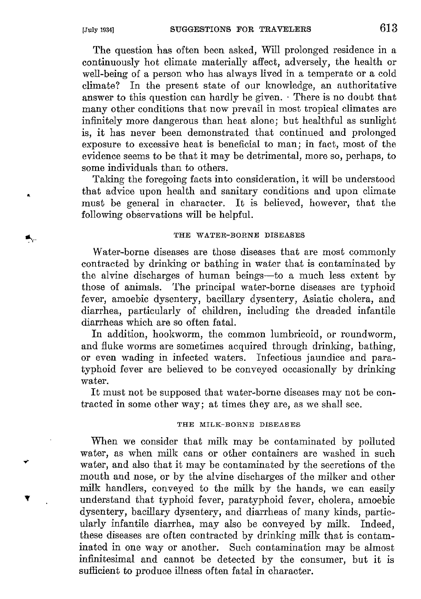The question has often been asked, Will prolonged residence in a continuously hot climate materially affect, adversely, the health or well-being of a person who has always lived in a temperate or a cold climate? In the present state of our knowledge, an authoritative answer to this question can hardly be given. There is no doubt that many other conditions that now prevail in most tropical climates are infinitely more dangerous than heat done; but healthful as sunlight is, it has never been demonstrated that continued and prolonged exposure to excessive heat is beneficial to man; in fact, most of the evidente seems to be that it may be detrimental, more so, perhaps, to some individuals than to others.

Taking the foregoing facts into consideration, it will be understood that advice upon health and sanitary conditions and upon climate must be general in character. It is believed, however, that the following observations will be helpful.

## THE WATER-BORNE DISEASES

Water-borne diseases are those diseases that are most commonly contracted by drinking or bathing in water that is contaminated by the alvine discharges of human beings-to a much less extent by those of animals. The principal water-borne diseases are typhoid fever, amoebic dysentery, bacillary dysentery, Asiatic cholera, and diarrhea, particularly of children, including the dreaded infantile diarrheas which are so often fatal.

In addition, hookworm, the common lumbricoid, or roundworm, and fluke worms are sometimes acquired through drinking, bathing, or even wading in infected waters. Infectious jaundice and paratyphoid fever are believed to be conveyed occasionally by drinking water.

It must not be supposed that water-borne diseases may not be contracted in some other way; at times they are, as we shall see.

### THE MILK-BORNE DISEASES

When we consider that milk may be contaminated by polluted water, as when milk cans or other containers are washed in such water, and also that it may be contaminated by the secretions of the mouth and nose, or by the alvine discharges of the milker and other milk handlers, conveyed to the milk by the hands, we can easily understand that typhoid fever, paratyphoid fever, cholera, amoebic dysentery, bacillary dysentery, and diarrheas of many kinds, particularly infantile diarrhea, may also be conveyed by milk. Indeed, these diseases are often contracted by drinking milk that is contaminated in one way or another. Such contamination may be almost infinitesimal and cannot be detected by the consumer, but it is sufficient to produce illness often fatal in character.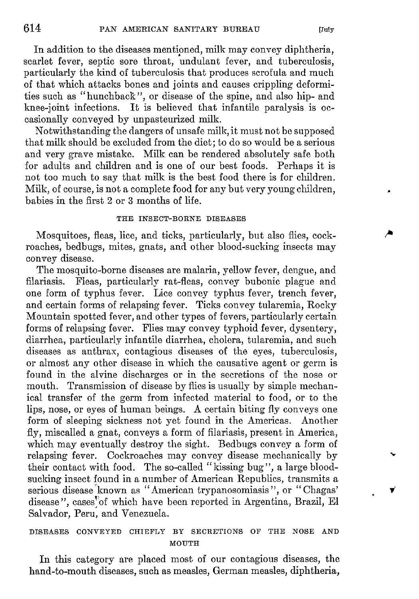In addition to the diseases mentioned, milk may convey diphtheria, scarlet fever, septic sore throat, undulant fever, and tuberculosis, particularly the kind of tuberculosis that produces scrofula and much of that which attacks bones and joints and causes crippling deformities such as "hunchback", or disease of the spine, and also hip- and knee-joint infections. It is believed that infantile paralysis is occasionally conveyed by unpasteurized milk.

Notwithstanding the dangers of unsafe milk, it must not be supposed that milk should be excluded from the diet; to do so wouId be a serious and very grave mistako. Milk can be rendcred absolutely safe both for adults and children and is one of our best foods. Perhaps it is not too much to say that milk is the best food there is for children. Milk, of course, is not a complete food for any but very young children, babies in the first 2 or 3 months of life.

## THE INSECT-BORNE DISEASES

Mosquitoes, fleas, lice, and ticks, particularly, but also flies, cockroaches, bedbugs, mites, gnats, and other blood-sucking insects may conveg disease.

The mosquito-borne diseases are malaria, yellow fever, dengue, and filariasis. Fleas, particularly rat-fleas, convey bubonic plague and one form of typhus fever. Lice convey typhus fever, trench fever, and certain forms of relapsing fever. Ticks convey tularemia, Rocky Mountain spotted fever, and other types of fevers, particularly certain forms of relapsing fever. Flies may convey typhoid fever, dysentery, diarrhea, particularly infantile diarrhea, cholera, tularemia, and such diseases as anthrax, contagious diseases of the eyes, tuberculosis, or almost any other disease in which the causative agent or germ is found in the alvine discharges or in the secretions of the nose or mouth. Transmission of disease by flies is usually by simple mechanical transfer of the germ from infected material to food, or to the lips, nose, or eyes of human beings. A certain biting fly conveys one form of sleeping sickness not yet found in the Americas. Another fly, miscalled a gnat, conveys a form of filariasis, present in America, which may eventually destroy the sight. Bedbugs convey a form of relapsing fever. Cockroaches may convey disease mechanically by their contact with food. The so-called "kissing bug", a large bloodsucking insect found in a number of American Republics, transmits a serious disease known as "American trypanosomiasis", or "Chagas' disease ", cases"of which have been reported in Argentina, Brazil, El Salvador, Peru, and Venezuela.

# DISEASES CONVEYED CHIEFLY BY SECRETIONS OF THE NOSE AND MOUTH

In this category are placed most of our contagious diseases, the hand-to-mouth diseases, such as measles, German measles, diphtheria, ,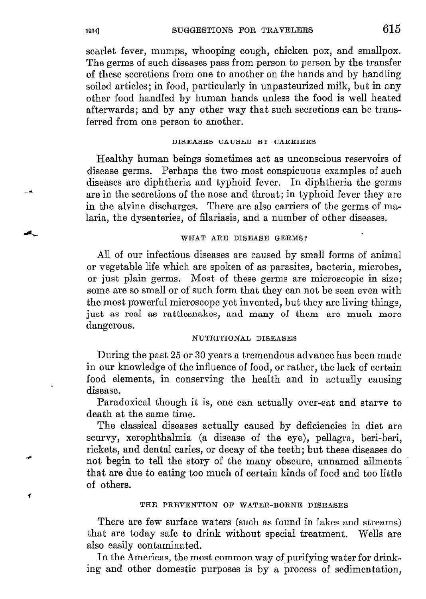scarlet fever, mumps, whooping cough, chicken pox, and smallpox. The germs of such diseases pass from person to person by the transfer of these secretions from one to another on the hands and by handling soiled articles; in food, particularly in unpasteurized milk, but in any other food handled by human hands unless the food is well heated afterwards; and by any other way that such secretions can be transferred from one person to another.

#### DISEASES CAUSED BY CARRIERS

Healthy human beings sometimes act as unconscious reservoirs of disease germs. Perhaps the two most conspicuous examples of such diseases are diphtheria and typhoid fever. In diphtheria the germs are in the secretions of the nose and throat; in typhoid fever they are in the alvine discharges. There are also carriers of the germs of malaria, the dysenteries, of filariasis, and a number of other diseases.

## WHAT ARE DISEASE GERMS?

Al1 of our infectious diseases are caused by small forms of animal or vegetable life which are spoken of as parasites, bacteria, microbes, or just plain germs. Most of these germs are microscopic in size; some are so small or of such form that they can not be seen even with the most powerful microscope yet invented, but they are living things, just as real as rattlesnakes, and many of them are much more dangerous.

#### NUTRITIONAL DISEASES

During the past 25 or 30 years a tremendous advance has been made in our knowledge of the influence of food, or rather, the lack of certain food elements, in conserving the health and in actually causing disease.

Paradoxical though it is, one can actually over-eat and starve to death at the same time.

The classical diseases actually caused by deficiencies in diet are scurvy, xerophthalmia (a disease of the eye), pellagra, beri-beri, rickets, and dental caries, or decay of the teeth; but these diseases do not begin to tell the story of the many obscure, unnamed ailments that are due to eating too much of certain kinds of food and too little of others.

#### THE PREVENTION OF WATER-BORNE DISEASES

There are few surface waters (such as found in lakes and streams) that are today safe to drink without special treatment. Wells are also easily contaminated.

In the Americas, the most common way of purifying water for drinking and other domestic purposes is by a process of sedimentation,

-\*

.+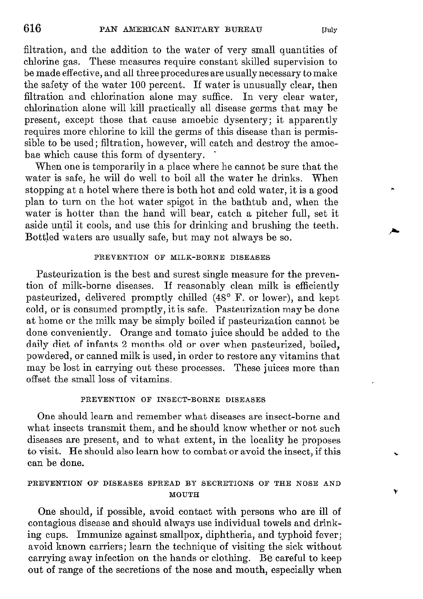filtration, and the addition to the water of very small quantities of chlorine gas. These measures require constant skilled supervision to be made eflective, and al1 three procedures are usually necessary to make the safety of the water 100 percent. If water is unusually clear, then filtration and chlorination alone may suffice. In very clear water, chlorination alone will kill practically al1 disease germs that may be present, except those that cause amoebic dysentery; it apparently requires more chlorine to kill the germs of this disease than is permissible to be used; filtration, however, will catch and destroy the amoebae which cause this form of dysentery.

When one is temporarily in a place where he cannot be sure that the water is safe, he will do well to boil al1 the water he drinks. When stopping at a hotel where there is both hot and cold water, it is a good plan to turn on the hot water spigot in the bathtub and, when the water is hotter than the hand will bear, catch a pitcher full, set it aside until it cools, and use this for drinking and brushing the teeth. Bottled waters are usually safe, but may not always be so.

## PREVENTION OF MILK-BORNE DISEASES

Pasteurization is the best and surest single measure for the prevention of milk-borne diseases. If reasonably clean milk is efficiently pasteurized, delivered promptly chilled (48' F. or lower), and kept cold, or is consumed promptly, it is safe. Pasteurization may be done at home or the milk may be simply boiled if pasteurization cannot be done conveniently. Orange and tomato juice should be added to the daily diet of infants 2 months old or over when pasteurized, boiled, powdered, or canned milk is used, in order to restore any vitamins that may be lost in carrying out these processes. These juices more than oflset the small loss of vitamins.

### PREVENTION OF INSECT-BORNE DISEASES

One should learn and remember what diseases are insect-borne and what insects transmit them, and he should know whether or not such diseases are present, and to what extent, in the locality he proposes to visit. He should also learn how to combat or avoid the insect, if this can be done.

#### PREVENTION OF DISEASES SPREAD BY SECRETIONS OF THE NOSE AND **MOUTH**

One should, if possible, avoid contact with persons who are ill of contagious disease and should always use individual towels and drinking cups. Immunize against smallpox, diphtheria, and typhoid fever; avoid known carriers; learn the technique of visiting the sick without carrying away infection on the hands or clothing. Be careful to keep out of range of the secretions of the nose and mouth, especially when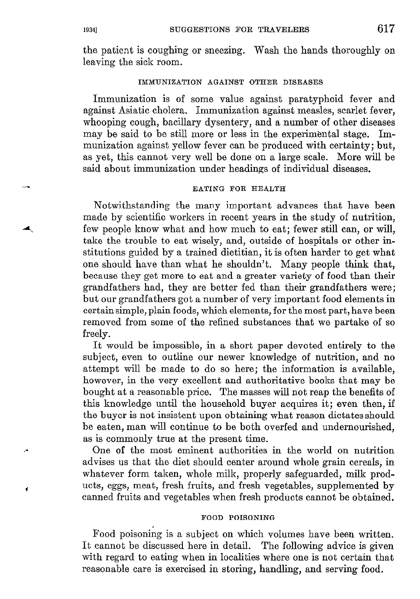the patient is coughing or sneezing. Wash the hands thoroughly on leaving the sick room.

#### IMMUNIZATION AGAINST OTHER DISEASES

Immunization is of some value against paratyphoid fever and against Asiatic cholera. Immunization against measles, scarlet fever, whooping cough, bacillary dysentery, and a number of other diseases may be said to be still more or less in the experimental stage. Immunization against yellow fever can be produced with certainty; but, as yet, this cannot very well be done on a large scale. More will be said about immunization under headings of individual diseases.

#### EATING FOR HEALTH

Notwithstanding the many important advances that have been made by scientific workers in recent years in the study of nutrition, few people know what and how much to eat; fewer still can, or will, take the trouble to eat wisely, and, outside of hospitals or other institutions guided by a trained dietitian, it is often harder to get what one should have than what he shouldn't. Many people think that, because they get more to eat and a greater variety of food than their grandfathers had, they are better fed than their grandfathers were; but our grandfathers got a number of very important food elements in certainsimple, plain foods, which elements, for the most part, have been removed from some of the refined substances that we partake of so freely.

It would be impossible, in a short paper devoted entirely to the subject, even to outline our newer knowledge of nutrition, and no attempt will be made to do so here; the information is available, however, in the very excellent and authoritative books that may be bought at a reasonable price. The masses will not reap the benefits of this knowledge until the household buyer acquires it; even then, if the buyer is not insistent upon obtaining what reason dictates should be eaten, man will continue to be both overfed and undernourished, as is commonly true at the present time.

One of the most eminent authorities in the world on nutrition advises us that the diet should center around whole grain cereals, in whatever form taken, whole milk, properly safeguarded, milk products, eggs, meat, fresh fruits, and fresh vegetables, supplemented by canned fruits and vegetables when fresh products cannot be obtained.

#### FOOD POISONING

Food poisoning is a subject on which volumes have been written. It cannot be discussed here in detail. The following advice is given with regard to eating when in localities where one is not certain that reasonable care is exercised in storing, handling, and serving food.